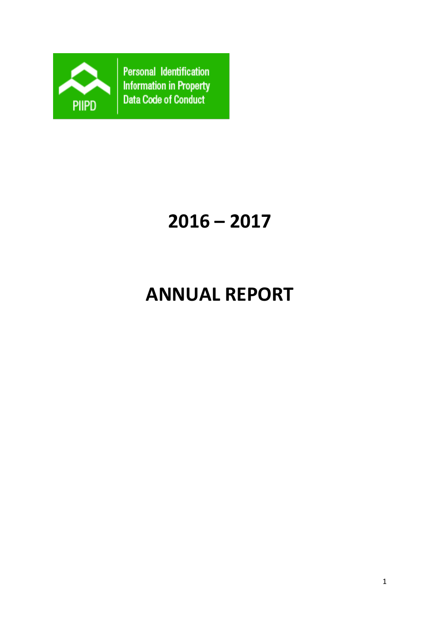

Personal Identification **Information in Property** Data Code of Conduct

# **2016 – 2017**

## **ANNUAL REPORT**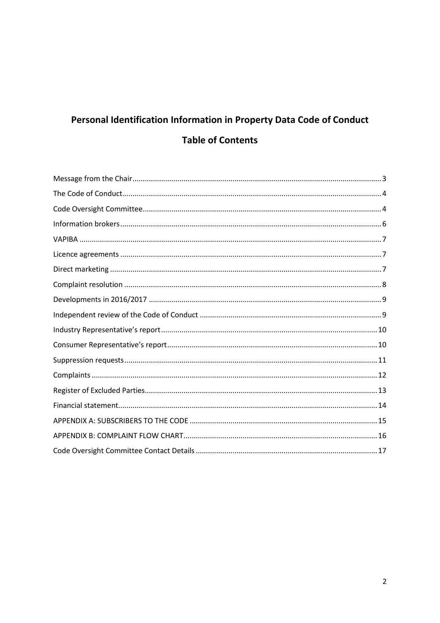## Personal Identification Information in Property Data Code of Conduct **Table of Contents**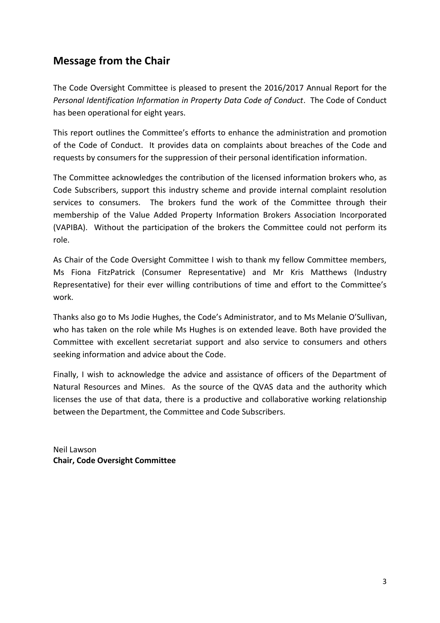## <span id="page-2-0"></span>**Message from the Chair**

The Code Oversight Committee is pleased to present the 2016/2017 Annual Report for the *Personal Identification Information in Property Data Code of Conduct*. The Code of Conduct has been operational for eight years.

This report outlines the Committee's efforts to enhance the administration and promotion of the Code of Conduct. It provides data on complaints about breaches of the Code and requests by consumers for the suppression of their personal identification information.

The Committee acknowledges the contribution of the licensed information brokers who, as Code Subscribers, support this industry scheme and provide internal complaint resolution services to consumers. The brokers fund the work of the Committee through their membership of the Value Added Property Information Brokers Association Incorporated (VAPIBA). Without the participation of the brokers the Committee could not perform its role.

As Chair of the Code Oversight Committee I wish to thank my fellow Committee members, Ms Fiona FitzPatrick (Consumer Representative) and Mr Kris Matthews (Industry Representative) for their ever willing contributions of time and effort to the Committee's work.

Thanks also go to Ms Jodie Hughes, the Code's Administrator, and to Ms Melanie O'Sullivan, who has taken on the role while Ms Hughes is on extended leave. Both have provided the Committee with excellent secretariat support and also service to consumers and others seeking information and advice about the Code.

Finally, I wish to acknowledge the advice and assistance of officers of the Department of Natural Resources and Mines. As the source of the QVAS data and the authority which licenses the use of that data, there is a productive and collaborative working relationship between the Department, the Committee and Code Subscribers.

Neil Lawson **Chair, Code Oversight Committee**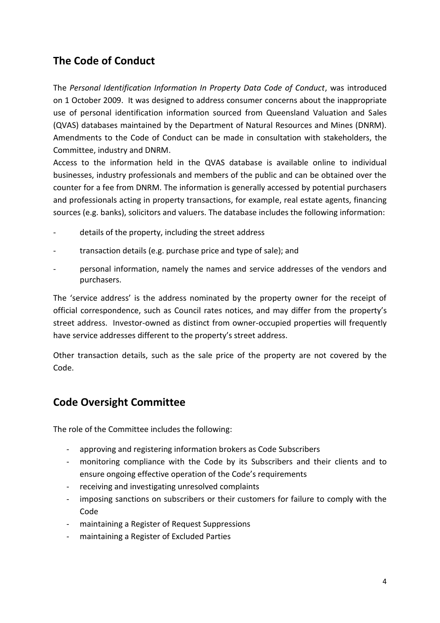## <span id="page-3-0"></span>**The Code of Conduct**

The *Personal Identification Information In Property Data Code of Conduct*, was introduced on 1 October 2009. It was designed to address consumer concerns about the inappropriate use of personal identification information sourced from Queensland Valuation and Sales (QVAS) databases maintained by the Department of Natural Resources and Mines (DNRM). Amendments to the Code of Conduct can be made in consultation with stakeholders, the Committee, industry and DNRM.

Access to the information held in the QVAS database is available online to individual businesses, industry professionals and members of the public and can be obtained over the counter for a fee from DNRM. The information is generally accessed by potential purchasers and professionals acting in property transactions, for example, real estate agents, financing sources (e.g. banks), solicitors and valuers. The database includes the following information:

- details of the property, including the street address
- transaction details (e.g. purchase price and type of sale); and
- personal information, namely the names and service addresses of the vendors and purchasers.

The 'service address' is the address nominated by the property owner for the receipt of official correspondence, such as Council rates notices, and may differ from the property's street address. Investor-owned as distinct from owner-occupied properties will frequently have service addresses different to the property's street address.

Other transaction details, such as the sale price of the property are not covered by the Code.

## <span id="page-3-1"></span>**Code Oversight Committee**

The role of the Committee includes the following:

- approving and registering information brokers as Code Subscribers
- monitoring compliance with the Code by its Subscribers and their clients and to ensure ongoing effective operation of the Code's requirements
- receiving and investigating unresolved complaints
- imposing sanctions on subscribers or their customers for failure to comply with the Code
- maintaining a Register of Request Suppressions
- maintaining a Register of Excluded Parties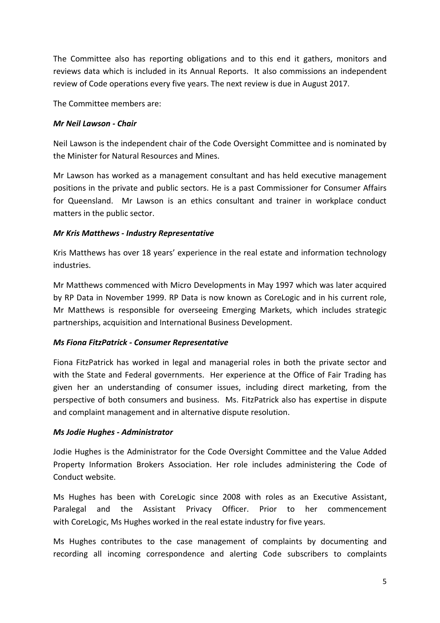The Committee also has reporting obligations and to this end it gathers, monitors and reviews data which is included in its Annual Reports. It also commissions an independent review of Code operations every five years. The next review is due in August 2017.

The Committee members are:

#### *Mr Neil Lawson - Chair*

Neil Lawson is the independent chair of the Code Oversight Committee and is nominated by the Minister for Natural Resources and Mines.

Mr Lawson has worked as a management consultant and has held executive management positions in the private and public sectors. He is a past Commissioner for Consumer Affairs for Queensland. Mr Lawson is an ethics consultant and trainer in workplace conduct matters in the public sector.

#### *Mr Kris Matthews - Industry Representative*

Kris Matthews has over 18 years' experience in the real estate and information technology industries.

Mr Matthews commenced with Micro Developments in May 1997 which was later acquired by RP Data in November 1999. RP Data is now known as CoreLogic and in his current role, Mr Matthews is responsible for overseeing Emerging Markets, which includes strategic partnerships, acquisition and International Business Development.

#### *Ms Fiona FitzPatrick - Consumer Representative*

Fiona FitzPatrick has worked in legal and managerial roles in both the private sector and with the State and Federal governments. Her experience at the Office of Fair Trading has given her an understanding of consumer issues, including direct marketing, from the perspective of both consumers and business. Ms. FitzPatrick also has expertise in dispute and complaint management and in alternative dispute resolution.

#### *Ms Jodie Hughes - Administrator*

Jodie Hughes is the Administrator for the Code Oversight Committee and the Value Added Property Information Brokers Association. Her role includes administering the Code of Conduct website.

Ms Hughes has been with CoreLogic since 2008 with roles as an Executive Assistant, Paralegal and the Assistant Privacy Officer. Prior to her commencement with CoreLogic, Ms Hughes worked in the real estate industry for five years.

Ms Hughes contributes to the case management of complaints by documenting and recording all incoming correspondence and alerting Code subscribers to complaints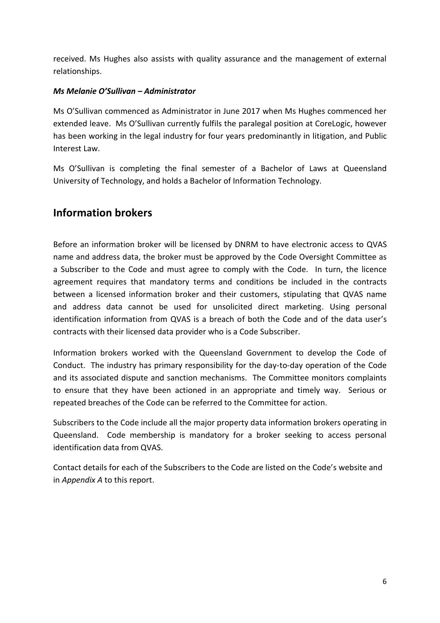received. Ms Hughes also assists with quality assurance and the management of external relationships.

#### *Ms Melanie O'Sullivan – Administrator*

Ms O'Sullivan commenced as Administrator in June 2017 when Ms Hughes commenced her extended leave. Ms O'Sullivan currently fulfils the paralegal position at CoreLogic, however has been working in the legal industry for four years predominantly in litigation, and Public Interest Law.

Ms O'Sullivan is completing the final semester of a Bachelor of Laws at Queensland University of Technology, and holds a Bachelor of Information Technology.

#### <span id="page-5-0"></span>**Information brokers**

Before an information broker will be licensed by DNRM to have electronic access to QVAS name and address data, the broker must be approved by the Code Oversight Committee as a Subscriber to the Code and must agree to comply with the Code. In turn, the licence agreement requires that mandatory terms and conditions be included in the contracts between a licensed information broker and their customers, stipulating that QVAS name and address data cannot be used for unsolicited direct marketing. Using personal identification information from QVAS is a breach of both the Code and of the data user's contracts with their licensed data provider who is a Code Subscriber.

Information brokers worked with the Queensland Government to develop the Code of Conduct. The industry has primary responsibility for the day-to-day operation of the Code and its associated dispute and sanction mechanisms. The Committee monitors complaints to ensure that they have been actioned in an appropriate and timely way. Serious or repeated breaches of the Code can be referred to the Committee for action.

Subscribers to the Code include all the major property data information brokers operating in Queensland. Code membership is mandatory for a broker seeking to access personal identification data from QVAS.

Contact details for each of the Subscribers to the Code are listed on the Code's website and in *Appendix A* to this report.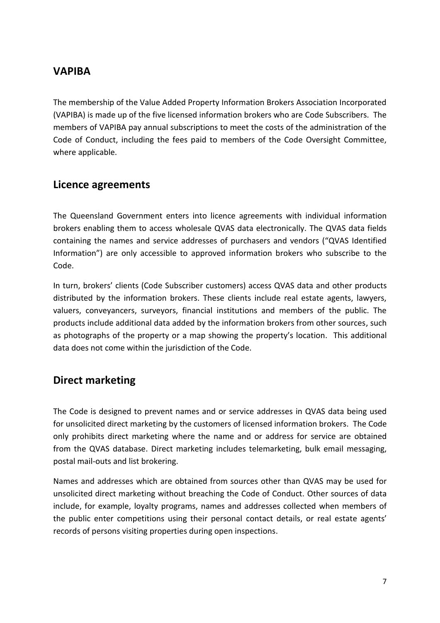## <span id="page-6-0"></span>**VAPIBA**

The membership of the Value Added Property Information Brokers Association Incorporated (VAPIBA) is made up of the five licensed information brokers who are Code Subscribers. The members of VAPIBA pay annual subscriptions to meet the costs of the administration of the Code of Conduct, including the fees paid to members of the Code Oversight Committee, where applicable.

#### <span id="page-6-1"></span>**Licence agreements**

The Queensland Government enters into licence agreements with individual information brokers enabling them to access wholesale QVAS data electronically. The QVAS data fields containing the names and service addresses of purchasers and vendors ("QVAS Identified Information") are only accessible to approved information brokers who subscribe to the Code.

In turn, brokers' clients (Code Subscriber customers) access QVAS data and other products distributed by the information brokers. These clients include real estate agents, lawyers, valuers, conveyancers, surveyors, financial institutions and members of the public. The products include additional data added by the information brokers from other sources, such as photographs of the property or a map showing the property's location. This additional data does not come within the jurisdiction of the Code.

#### <span id="page-6-2"></span>**Direct marketing**

The Code is designed to prevent names and or service addresses in QVAS data being used for unsolicited direct marketing by the customers of licensed information brokers. The Code only prohibits direct marketing where the name and or address for service are obtained from the QVAS database. Direct marketing includes telemarketing, bulk email messaging, postal mail-outs and list brokering.

Names and addresses which are obtained from sources other than QVAS may be used for unsolicited direct marketing without breaching the Code of Conduct. Other sources of data include, for example, loyalty programs, names and addresses collected when members of the public enter competitions using their personal contact details, or real estate agents' records of persons visiting properties during open inspections.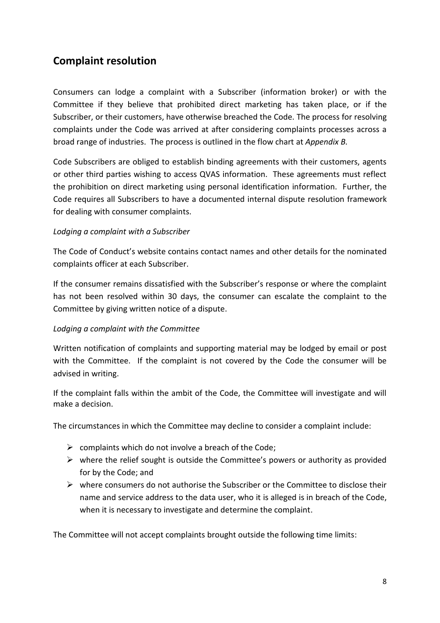## <span id="page-7-0"></span>**Complaint resolution**

Consumers can lodge a complaint with a Subscriber (information broker) or with the Committee if they believe that prohibited direct marketing has taken place, or if the Subscriber, or their customers, have otherwise breached the Code. The process for resolving complaints under the Code was arrived at after considering complaints processes across a broad range of industries. The process is outlined in the flow chart at *Appendix B.* 

Code Subscribers are obliged to establish binding agreements with their customers, agents or other third parties wishing to access QVAS information. These agreements must reflect the prohibition on direct marketing using personal identification information. Further, the Code requires all Subscribers to have a documented internal dispute resolution framework for dealing with consumer complaints.

#### *Lodging a complaint with a Subscriber*

The Code of Conduct's website contains contact names and other details for the nominated complaints officer at each Subscriber.

If the consumer remains dissatisfied with the Subscriber's response or where the complaint has not been resolved within 30 days, the consumer can escalate the complaint to the Committee by giving written notice of a dispute.

#### *Lodging a complaint with the Committee*

Written notification of complaints and supporting material may be lodged by email or post with the Committee. If the complaint is not covered by the Code the consumer will be advised in writing.

If the complaint falls within the ambit of the Code, the Committee will investigate and will make a decision.

The circumstances in which the Committee may decline to consider a complaint include:

- $\triangleright$  complaints which do not involve a breach of the Code;
- $\triangleright$  where the relief sought is outside the Committee's powers or authority as provided for by the Code; and
- $\triangleright$  where consumers do not authorise the Subscriber or the Committee to disclose their name and service address to the data user, who it is alleged is in breach of the Code, when it is necessary to investigate and determine the complaint.

The Committee will not accept complaints brought outside the following time limits: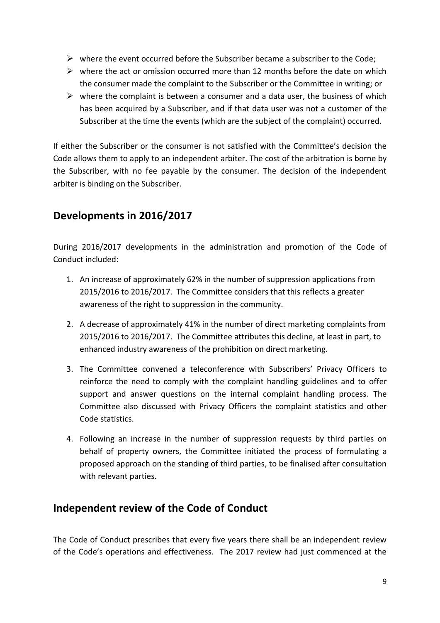- $\triangleright$  where the event occurred before the Subscriber became a subscriber to the Code;
- $\triangleright$  where the act or omission occurred more than 12 months before the date on which the consumer made the complaint to the Subscriber or the Committee in writing; or
- $\triangleright$  where the complaint is between a consumer and a data user, the business of which has been acquired by a Subscriber, and if that data user was not a customer of the Subscriber at the time the events (which are the subject of the complaint) occurred.

If either the Subscriber or the consumer is not satisfied with the Committee's decision the Code allows them to apply to an independent arbiter. The cost of the arbitration is borne by the Subscriber, with no fee payable by the consumer. The decision of the independent arbiter is binding on the Subscriber.

## <span id="page-8-0"></span>**Developments in 2016/2017**

During 2016/2017 developments in the administration and promotion of the Code of Conduct included:

- 1. An increase of approximately 62% in the number of suppression applications from 2015/2016 to 2016/2017. The Committee considers that this reflects a greater awareness of the right to suppression in the community.
- 2. A decrease of approximately 41% in the number of direct marketing complaints from 2015/2016 to 2016/2017. The Committee attributes this decline, at least in part, to enhanced industry awareness of the prohibition on direct marketing.
- 3. The Committee convened a teleconference with Subscribers' Privacy Officers to reinforce the need to comply with the complaint handling guidelines and to offer support and answer questions on the internal complaint handling process. The Committee also discussed with Privacy Officers the complaint statistics and other Code statistics.
- 4. Following an increase in the number of suppression requests by third parties on behalf of property owners, the Committee initiated the process of formulating a proposed approach on the standing of third parties, to be finalised after consultation with relevant parties.

## <span id="page-8-1"></span>**Independent review of the Code of Conduct**

The Code of Conduct prescribes that every five years there shall be an independent review of the Code's operations and effectiveness. The 2017 review had just commenced at the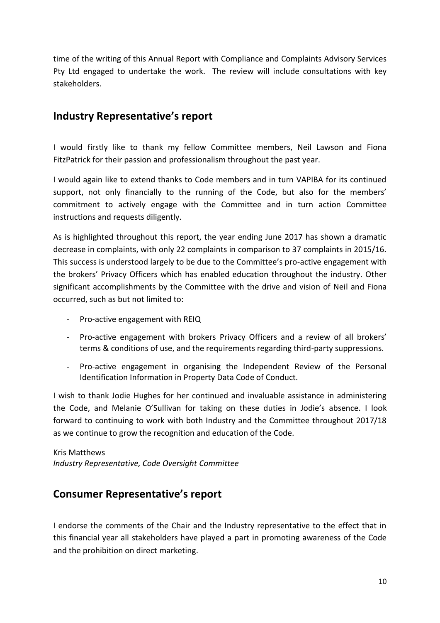time of the writing of this Annual Report with Compliance and Complaints Advisory Services Pty Ltd engaged to undertake the work. The review will include consultations with key stakeholders.

## <span id="page-9-0"></span>**Industry Representative's report**

I would firstly like to thank my fellow Committee members, Neil Lawson and Fiona FitzPatrick for their passion and professionalism throughout the past year.

I would again like to extend thanks to Code members and in turn VAPIBA for its continued support, not only financially to the running of the Code, but also for the members' commitment to actively engage with the Committee and in turn action Committee instructions and requests diligently.

As is highlighted throughout this report, the year ending June 2017 has shown a dramatic decrease in complaints, with only 22 complaints in comparison to 37 complaints in 2015/16. This success is understood largely to be due to the Committee's pro-active engagement with the brokers' Privacy Officers which has enabled education throughout the industry. Other significant accomplishments by the Committee with the drive and vision of Neil and Fiona occurred, such as but not limited to:

- Pro-active engagement with REIQ
- Pro-active engagement with brokers Privacy Officers and a review of all brokers' terms & conditions of use, and the requirements regarding third-party suppressions.
- Pro-active engagement in organising the Independent Review of the Personal Identification Information in Property Data Code of Conduct.

I wish to thank Jodie Hughes for her continued and invaluable assistance in administering the Code, and Melanie O'Sullivan for taking on these duties in Jodie's absence. I look forward to continuing to work with both Industry and the Committee throughout 2017/18 as we continue to grow the recognition and education of the Code.

Kris Matthews *Industry Representative, Code Oversight Committee*

#### <span id="page-9-1"></span>**Consumer Representative's report**

I endorse the comments of the Chair and the Industry representative to the effect that in this financial year all stakeholders have played a part in promoting awareness of the Code and the prohibition on direct marketing.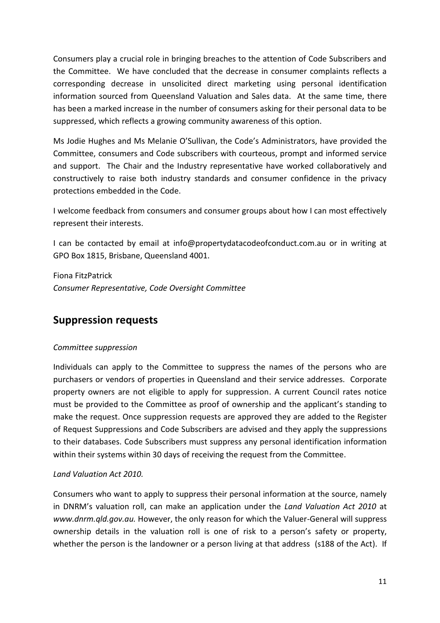Consumers play a crucial role in bringing breaches to the attention of Code Subscribers and the Committee. We have concluded that the decrease in consumer complaints reflects a corresponding decrease in unsolicited direct marketing using personal identification information sourced from Queensland Valuation and Sales data. At the same time, there has been a marked increase in the number of consumers asking for their personal data to be suppressed, which reflects a growing community awareness of this option.

Ms Jodie Hughes and Ms Melanie O'Sullivan, the Code's Administrators, have provided the Committee, consumers and Code subscribers with courteous, prompt and informed service and support. The Chair and the Industry representative have worked collaboratively and constructively to raise both industry standards and consumer confidence in the privacy protections embedded in the Code.

I welcome feedback from consumers and consumer groups about how I can most effectively represent their interests.

I can be contacted by email at info@propertydatacodeofconduct.com.au or in writing at GPO Box 1815, Brisbane, Queensland 4001.

Fiona FitzPatrick *Consumer Representative, Code Oversight Committee*

## <span id="page-10-0"></span>**Suppression requests**

#### *Committee suppression*

Individuals can apply to the Committee to suppress the names of the persons who are purchasers or vendors of properties in Queensland and their service addresses. Corporate property owners are not eligible to apply for suppression. A current Council rates notice must be provided to the Committee as proof of ownership and the applicant's standing to make the request. Once suppression requests are approved they are added to the Register of Request Suppressions and Code Subscribers are advised and they apply the suppressions to their databases. Code Subscribers must suppress any personal identification information within their systems within 30 days of receiving the request from the Committee.

#### *Land Valuation Act 2010.*

Consumers who want to apply to suppress their personal information at the source, namely in DNRM's valuation roll, can make an application under the *Land Valuation Act 2010* at *www.dnrm.qld.gov.au.* However, the only reason for which the Valuer-General will suppress ownership details in the valuation roll is one of risk to a person's safety or property, whether the person is the landowner or a person living at that address (s188 of the Act). If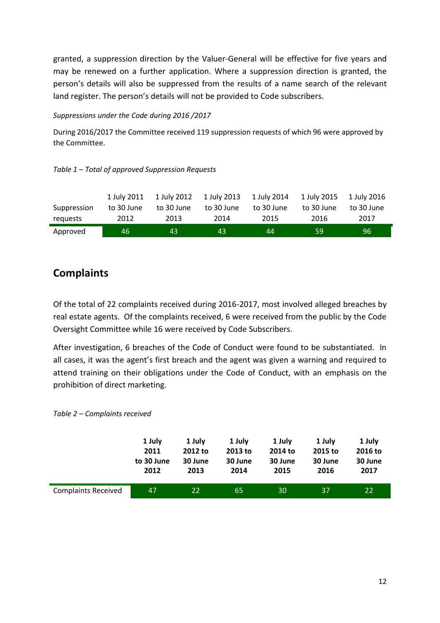granted, a suppression direction by the Valuer-General will be effective for five years and may be renewed on a further application. Where a suppression direction is granted, the person's details will also be suppressed from the results of a name search of the relevant land register. The person's details will not be provided to Code subscribers.

#### *Suppressions under the Code during 2016 /2017*

During 2016/2017 the Committee received 119 suppression requests of which 96 were approved by the Committee.

#### *Table 1 – Total of approved Suppression Requests*

|             | 1 July 2011 | 1 July 2012 | 1 July 2013 | 1 July 2014 | 1 July 2015 | 1 July 2016 |
|-------------|-------------|-------------|-------------|-------------|-------------|-------------|
| Suppression | to 30 June  | to 30 June  | to 30 June  | to 30 June  | to 30 June  | to 30 June  |
| requests    | 2012        | 2013        | 2014        | 2015        | 2016        | 2017        |
| Approved    | 46.         | 43          | 43          | 44          | -59         | 96          |

## <span id="page-11-0"></span>**Complaints**

Of the total of 22 complaints received during 2016-2017, most involved alleged breaches by real estate agents. Of the complaints received, 6 were received from the public by the Code Oversight Committee while 16 were received by Code Subscribers.

After investigation, 6 breaches of the Code of Conduct were found to be substantiated. In all cases, it was the agent's first breach and the agent was given a warning and required to attend training on their obligations under the Code of Conduct, with an emphasis on the prohibition of direct marketing.

|                            | 1 July     | 1 July  | 1 July  | 1 July  | 1 July  | 1 July  |
|----------------------------|------------|---------|---------|---------|---------|---------|
|                            | 2011       | 2012 to | 2013 to | 2014 to | 2015 to | 2016 to |
|                            | to 30 June | 30 June | 30 June | 30 June | 30 June | 30 June |
|                            | 2012       | 2013    | 2014    | 2015    | 2016    | 2017    |
| <b>Complaints Received</b> | 47         | 22      | 65      | 30      | 37      | 22      |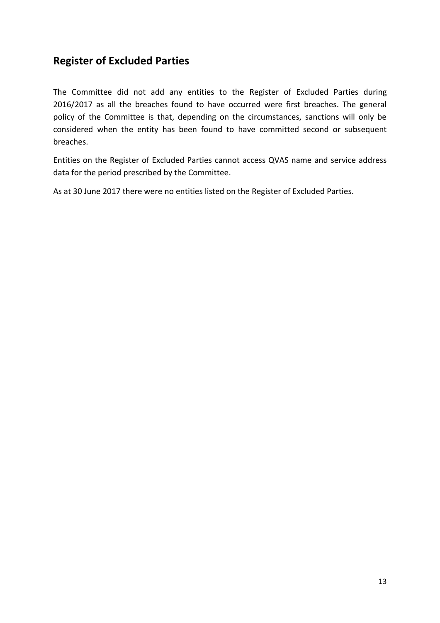## <span id="page-12-0"></span>**Register of Excluded Parties**

The Committee did not add any entities to the Register of Excluded Parties during 2016/2017 as all the breaches found to have occurred were first breaches. The general policy of the Committee is that, depending on the circumstances, sanctions will only be considered when the entity has been found to have committed second or subsequent breaches.

Entities on the Register of Excluded Parties cannot access QVAS name and service address data for the period prescribed by the Committee.

As at 30 June 2017 there were no entities listed on the Register of Excluded Parties.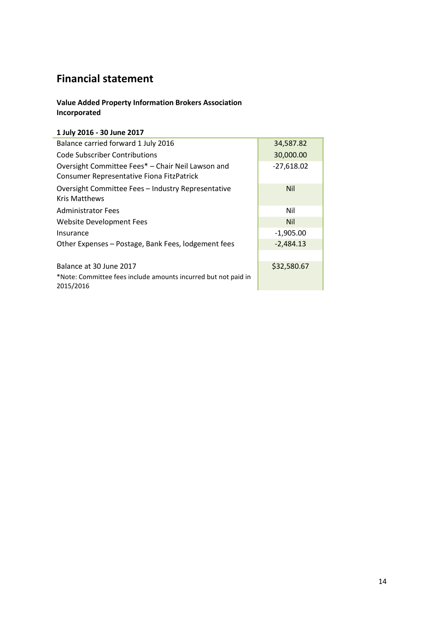## <span id="page-13-0"></span>**Financial statement**

#### **Value Added Property Information Brokers Association Incorporated**

#### **1 July 2016 - 30 June 2017**

| Balance carried forward 1 July 2016                                                            | 34,587.82    |
|------------------------------------------------------------------------------------------------|--------------|
| Code Subscriber Contributions                                                                  | 30,000.00    |
| Oversight Committee Fees* - Chair Neil Lawson and<br>Consumer Representative Fiona FitzPatrick | $-27,618.02$ |
| Oversight Committee Fees - Industry Representative<br><b>Kris Matthews</b>                     | <b>Nil</b>   |
| <b>Administrator Fees</b>                                                                      | Nil          |
| <b>Website Development Fees</b>                                                                | <b>Nil</b>   |
| Insurance                                                                                      | $-1,905.00$  |
| Other Expenses - Postage, Bank Fees, lodgement fees                                            | $-2,484.13$  |
|                                                                                                |              |
| Balance at 30 June 2017                                                                        | \$32,580.67  |
| *Note: Committee fees include amounts incurred but not paid in<br>2015/2016                    |              |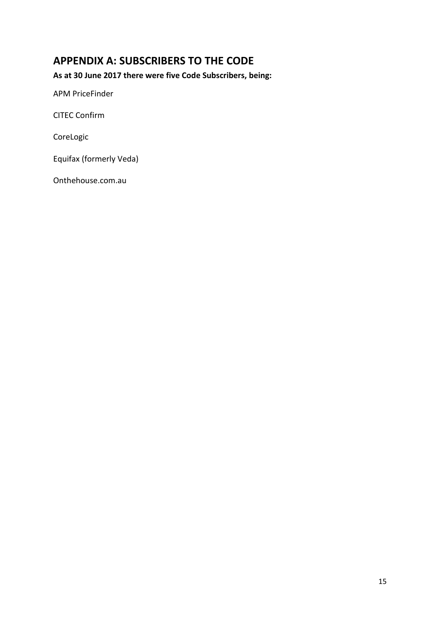## <span id="page-14-0"></span>**APPENDIX A: SUBSCRIBERS TO THE CODE**

**As at 30 June 2017 there were five Code Subscribers, being:**

APM PriceFinder

CITEC Confirm

CoreLogic

Equifax (formerly Veda)

Onthehouse.com.au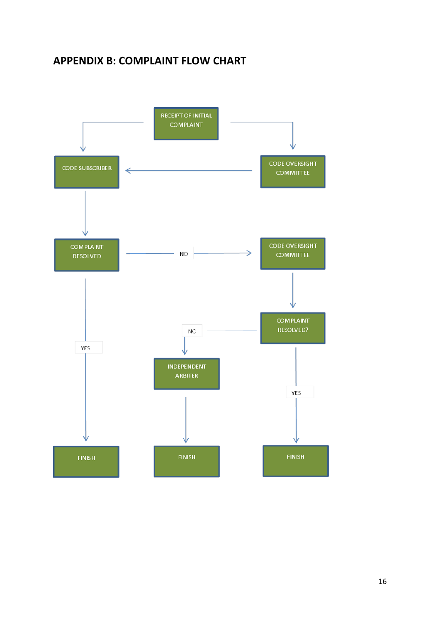## <span id="page-15-0"></span>**APPENDIX B: COMPLAINT FLOW CHART**